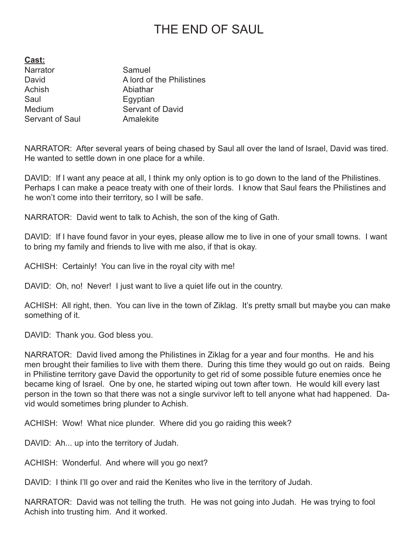## THE END OF SAUL

**Cast:** Narrator Samuel David **A** lord of the Philistines Achish Abiathar Saul **Egyptian** Medium Servant of David Servant of Saul **Amalekite** 

NARRATOR: After several years of being chased by Saul all over the land of Israel, David was tired. He wanted to settle down in one place for a while.

DAVID: If I want any peace at all, I think my only option is to go down to the land of the Philistines. Perhaps I can make a peace treaty with one of their lords. I know that Saul fears the Philistines and he won't come into their territory, so I will be safe.

NARRATOR: David went to talk to Achish, the son of the king of Gath.

DAVID: If I have found favor in your eyes, please allow me to live in one of your small towns. I want to bring my family and friends to live with me also, if that is okay.

ACHISH: Certainly! You can live in the royal city with me!

DAVID: Oh, no! Never! I just want to live a quiet life out in the country.

ACHISH: All right, then. You can live in the town of Ziklag. It's pretty small but maybe you can make something of it.

DAVID: Thank you. God bless you.

NARRATOR: David lived among the Philistines in Ziklag for a year and four months. He and his men brought their families to live with them there. During this time they would go out on raids. Being in Philistine territory gave David the opportunity to get rid of some possible future enemies once he became king of Israel. One by one, he started wiping out town after town. He would kill every last person in the town so that there was not a single survivor left to tell anyone what had happened. David would sometimes bring plunder to Achish.

ACHISH: Wow! What nice plunder. Where did you go raiding this week?

DAVID: Ah... up into the territory of Judah.

ACHISH: Wonderful. And where will you go next?

DAVID: I think I'll go over and raid the Kenites who live in the territory of Judah.

NARRATOR: David was not telling the truth. He was not going into Judah. He was trying to fool Achish into trusting him. And it worked.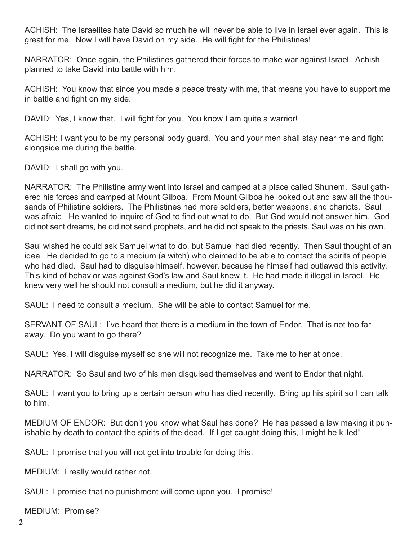ACHISH: The Israelites hate David so much he will never be able to live in Israel ever again. This is great for me. Now I will have David on my side. He will fight for the Philistines!

NARRATOR: Once again, the Philistines gathered their forces to make war against Israel. Achish planned to take David into battle with him.

ACHISH: You know that since you made a peace treaty with me, that means you have to support me in battle and fight on my side.

DAVID: Yes, I know that. I will fight for you. You know I am quite a warrior!

ACHISH: I want you to be my personal body guard. You and your men shall stay near me and fight alongside me during the battle.

DAVID: I shall go with you.

NARRATOR: The Philistine army went into Israel and camped at a place called Shunem. Saul gathered his forces and camped at Mount Gilboa. From Mount Gilboa he looked out and saw all the thousands of Philistine soldiers. The Philistines had more soldiers, better weapons, and chariots. Saul was afraid. He wanted to inquire of God to find out what to do. But God would not answer him. God did not sent dreams, he did not send prophets, and he did not speak to the priests. Saul was on his own.

Saul wished he could ask Samuel what to do, but Samuel had died recently. Then Saul thought of an idea. He decided to go to a medium (a witch) who claimed to be able to contact the spirits of people who had died. Saul had to disguise himself, however, because he himself had outlawed this activity. This kind of behavior was against God's law and Saul knew it. He had made it illegal in Israel. He knew very well he should not consult a medium, but he did it anyway.

SAUL: I need to consult a medium. She will be able to contact Samuel for me.

SERVANT OF SAUL: I've heard that there is a medium in the town of Endor. That is not too far away. Do you want to go there?

SAUL: Yes, I will disguise myself so she will not recognize me. Take me to her at once.

NARRATOR: So Saul and two of his men disguised themselves and went to Endor that night.

SAUL: I want you to bring up a certain person who has died recently. Bring up his spirit so I can talk to him.

MEDIUM OF ENDOR: But don't you know what Saul has done? He has passed a law making it punishable by death to contact the spirits of the dead. If I get caught doing this, I might be killed!

SAUL: I promise that you will not get into trouble for doing this.

MEDIUM: I really would rather not.

SAUL: I promise that no punishment will come upon you. I promise!

MEDIUM: Promise?

**2**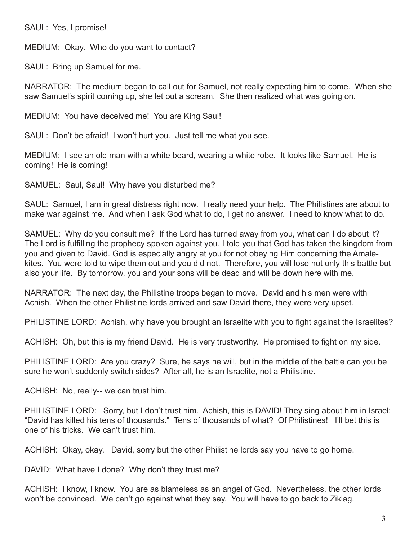SAUL: Yes, I promise!

MEDIUM: Okay. Who do you want to contact?

SAUL: Bring up Samuel for me.

NARRATOR: The medium began to call out for Samuel, not really expecting him to come. When she saw Samuel's spirit coming up, she let out a scream. She then realized what was going on.

MEDIUM: You have deceived me! You are King Saul!

SAUL: Don't be afraid! I won't hurt you. Just tell me what you see.

MEDIUM: I see an old man with a white beard, wearing a white robe. It looks like Samuel. He is coming! He is coming!

SAMUEL: Saul, Saul! Why have you disturbed me?

SAUL: Samuel, I am in great distress right now. I really need your help. The Philistines are about to make war against me. And when I ask God what to do, I get no answer. I need to know what to do.

SAMUEL: Why do you consult me? If the Lord has turned away from you, what can I do about it? The Lord is fulfilling the prophecy spoken against you. I told you that God has taken the kingdom from you and given to David. God is especially angry at you for not obeying Him concerning the Amalekites. You were told to wipe them out and you did not. Therefore, you will lose not only this battle but also your life. By tomorrow, you and your sons will be dead and will be down here with me.

NARRATOR: The next day, the Philistine troops began to move. David and his men were with Achish. When the other Philistine lords arrived and saw David there, they were very upset.

PHILISTINE LORD: Achish, why have you brought an Israelite with you to fight against the Israelites?

ACHISH: Oh, but this is my friend David. He is very trustworthy. He promised to fight on my side.

PHILISTINE LORD: Are you crazy? Sure, he says he will, but in the middle of the battle can you be sure he won't suddenly switch sides? After all, he is an Israelite, not a Philistine.

ACHISH: No, really-- we can trust him.

PHILISTINE LORD: Sorry, but I don't trust him. Achish, this is DAVID! They sing about him in Israel: "David has killed his tens of thousands." Tens of thousands of what? Of Philistines! I'll bet this is one of his tricks. We can't trust him.

ACHISH: Okay, okay. David, sorry but the other Philistine lords say you have to go home.

DAVID: What have I done? Why don't they trust me?

ACHISH: I know, I know. You are as blameless as an angel of God. Nevertheless, the other lords won't be convinced. We can't go against what they say. You will have to go back to Ziklag.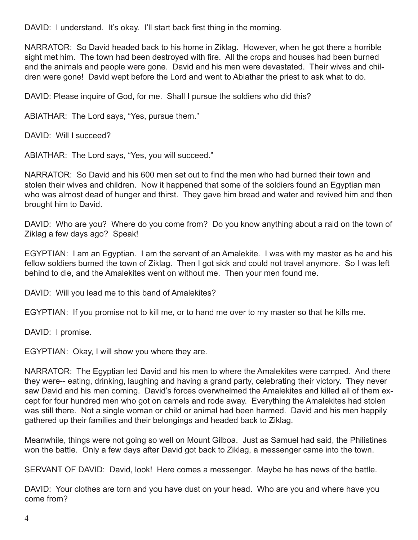DAVID: I understand. It's okay. I'll start back first thing in the morning.

NARRATOR: So David headed back to his home in Ziklag. However, when he got there a horrible sight met him. The town had been destroyed with fire. All the crops and houses had been burned and the animals and people were gone. David and his men were devastated. Their wives and children were gone! David wept before the Lord and went to Abiathar the priest to ask what to do.

DAVID: Please inquire of God, for me. Shall I pursue the soldiers who did this?

ABIATHAR: The Lord says, "Yes, pursue them."

DAVID: Will I succeed?

ABIATHAR: The Lord says, "Yes, you will succeed."

NARRATOR: So David and his 600 men set out to find the men who had burned their town and stolen their wives and children. Now it happened that some of the soldiers found an Egyptian man who was almost dead of hunger and thirst. They gave him bread and water and revived him and then brought him to David.

DAVID: Who are you? Where do you come from? Do you know anything about a raid on the town of Ziklag a few days ago? Speak!

EGYPTIAN: I am an Egyptian. I am the servant of an Amalekite. I was with my master as he and his fellow soldiers burned the town of Ziklag. Then I got sick and could not travel anymore. So I was left behind to die, and the Amalekites went on without me. Then your men found me.

DAVID: Will you lead me to this band of Amalekites?

EGYPTIAN: If you promise not to kill me, or to hand me over to my master so that he kills me.

DAVID: I promise.

EGYPTIAN: Okay, I will show you where they are.

NARRATOR: The Egyptian led David and his men to where the Amalekites were camped. And there they were-- eating, drinking, laughing and having a grand party, celebrating their victory. They never saw David and his men coming. David's forces overwhelmed the Amalekites and killed all of them except for four hundred men who got on camels and rode away. Everything the Amalekites had stolen was still there. Not a single woman or child or animal had been harmed. David and his men happily gathered up their families and their belongings and headed back to Ziklag.

Meanwhile, things were not going so well on Mount Gilboa. Just as Samuel had said, the Philistines won the battle. Only a few days after David got back to Ziklag, a messenger came into the town.

SERVANT OF DAVID: David, look! Here comes a messenger. Maybe he has news of the battle.

DAVID: Your clothes are torn and you have dust on your head. Who are you and where have you come from?